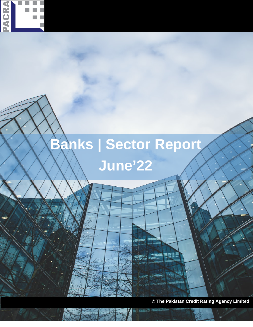

# **Banks | Sector Report June'22**

**© The Pakistan Credit Rating Agency Limited**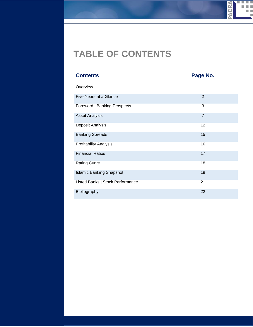#### PACRA  $\mathbf{m}$ × **In** m.

# **TABLE OF CONTENTS**

| <b>Contents</b>                  | Page No.       |
|----------------------------------|----------------|
| Overview                         | 1              |
| Five Years at a Glance           | $\overline{2}$ |
| Foreword   Banking Prospects     | 3              |
| <b>Asset Analysis</b>            | $\overline{7}$ |
| Deposit Analysis                 | 12             |
| <b>Banking Spreads</b>           | 15             |
| <b>Profitability Analysis</b>    | 16             |
| <b>Financial Ratios</b>          | 17             |
| <b>Rating Curve</b>              | 18             |
| <b>Islamic Banking Snapshot</b>  | 19             |
| Listed Banks   Stock Performance | 21             |
| Bibliography                     | 22             |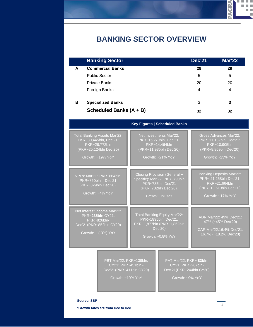# **BANKING SECTOR OVERVIEW**

|   | <b>Banking Sector</b>    | <b>Dec'21</b> | <b>Mar'22</b> |  |
|---|--------------------------|---------------|---------------|--|
| A | <b>Commercial Banks</b>  | 29            | 29            |  |
|   | <b>Public Sector</b>     | 5             | 5             |  |
|   | <b>Private Banks</b>     | 20            | 20            |  |
|   | Foreign Banks            | 4             | 4             |  |
| в | <b>Specialized Banks</b> | 3             | 3             |  |
|   | Scheduled Banks (A + B)  | 32            | 32            |  |

|                                                                                                                          | <b>Key Figures   Scheduled Banks</b>                                                                                          |                                                                                                                          |
|--------------------------------------------------------------------------------------------------------------------------|-------------------------------------------------------------------------------------------------------------------------------|--------------------------------------------------------------------------------------------------------------------------|
| Total Banking Assets Mar'22:<br>PKR~30,445bln, Dec'21:<br>PKR~29,772bln<br>(PKR~25,124bln Dec'20)<br>Growth: $~19\%$ YoY | Net Investments Mar'22:<br>PKR~15,279bln, Dec'21:<br>PKR~14,464bln<br>(PKR~11,935bln Dec'20)<br>Growth: ~21% YoY              | Gross Advances Mar'22:<br>PKR~11,132bln, Dec'21:<br>PKR~10,905bn<br>(PKR~8,869bln Dec'20)<br>Growth: ~23% YoY            |
| NPLs: Mar'22: PKR~864bln.<br>PKR~860bln - Dec'21<br>(PKR~829bln Dec'20).<br>Growth: ~4% YoY                              | Closing Provision (General +<br>Specific): Mar'22: PKR~790bln<br>PKR~785bln Dec'21<br>(PKR~732bln Dec'20).<br>Growth: ~7% YoY | <b>Banking Deposits Mar'22:</b><br>PKR~ 21,258bln Dec'21:<br>PKR~21.664bln<br>(PKR~18,519bln Dec'20)<br>Growth: ~17% YoY |
| Net Interest Income Mar'22:<br>PKR~235bln CY21:<br>PKR~826bln-<br>Dec'21(PKR~852bln CY20)<br>Growth: $\sim$ (-3%) YoY    | Total Banking Equity Mar'22:<br>PKR~1895bln, Dec'21:<br>PKR~1,877bln (PKR~1,862bln<br>Dec'20)<br>Growth: ~0.8% YoY            | ADR Mar'22: 49% Dec'21:<br>47% (~45% Dec'20)<br>CAR Mar'22:16.4% Dec'21:<br>16.7% (~18.2% Dec'20)                        |
| PBT Mar'22: PKR~139bln,<br>CY21: PKR~451bln -<br>Dec'21(PKR~411bln CY20)<br>Growth: ~10% YoY                             | PAT Mar'22: PKR~ 83bln,<br>CY21: PKR~267bln-<br>Dec'21(PKR~244bln CY20)<br>Growth: ~9% YoY                                    |                                                                                                                          |
| <b>Source: SBP</b>                                                                                                       |                                                                                                                               |                                                                                                                          |

1

**WAOK4** 

**I** п T. m a a s n e ш

**\*Growth rates are from Dec to Dec**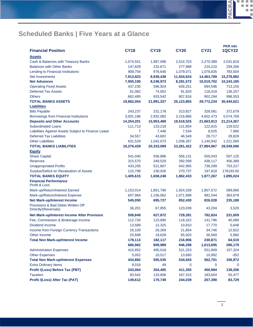| <b>Financial Position</b>                                               | <b>CY18</b>          | <b>CY19</b>           | <b>CY20</b>           | <b>CY21</b>           | <b>PKR mln</b><br><b>1QCY22</b> |
|-------------------------------------------------------------------------|----------------------|-----------------------|-----------------------|-----------------------|---------------------------------|
|                                                                         |                      |                       |                       |                       |                                 |
| <b>Assets</b>                                                           |                      |                       |                       |                       |                                 |
| Cash & Balances with Treasury Banks<br><b>Balances with Other Banks</b> | 1,574,551<br>147,829 | 1,987,096<br>232,671  | 2,014,703<br>277,988  | 2,270,389<br>224,210  | 2,031,819<br>259,266            |
| Lending to Financial Institutions                                       | 909,754              | 978,640               | 1,079,071             | 1,078,835             | 783,504                         |
| Net Investments                                                         | 7,913,923            | 8,939,438             | 11,934,634            | 14,463,789            | 15,278,882                      |
| <b>Net Advances</b>                                                     | 7,955,195            | 8,248,973             | 8,291,572             | 10,019,702            | 10,243,185                      |
| <b>Operating Fixed Assets</b>                                           | 437,235              | 596,924               | 626,251               | 694,596               | 713,155                         |
| <b>Deferred Tax Assets</b>                                              | 81,082               | 74,052                | 91,820                | 118,419               | 136,257                         |
| <b>Others</b>                                                           | 662,485              | 933,542               | 807,816               | 902,294               | 998,553                         |
| <b>TOTAL BANKS ASSETS</b>                                               | 19,682,054           | 21,991,337            | 25,123,855            | 29,772,234            | 30,444,621                      |
| <b>Liabilities</b>                                                      |                      |                       |                       |                       |                                 |
| <b>Bills Payable</b>                                                    | 243,237              | 231,178               | 313,827               | 328,081               | 372,679                         |
| Borrowings from Financial Institutions                                  | 3,001,186            | 2,932,082             | 3,216,866             | 4,602,473             |                                 |
| <b>Deposits and Other Accounts</b>                                      | 14,254,201           |                       |                       |                       | 5,574,769<br>21,214,267         |
| <b>Subordinated Loans</b>                                               | 111,713              | 15,953,489<br>123,218 | 18,518,525<br>121,854 | 21,663,913<br>122,815 | 129,522                         |
| Liabilities Against Assets Subject to Finance Lease                     | 7                    | 7,446                 |                       | 8,025                 |                                 |
| <b>Deferred Tax Liabilities</b>                                         | 34,557               | 43,602                | 7,534<br>46,549       | 28,717                | 7,966                           |
| <b>Other Liabilities</b>                                                | 631,529              | 1,042,073             | 1,036,267             | 1,140,942             | 28,828<br>1,221,565             |
| <b>TOTAL BANKS LIABILITIES</b>                                          | 18,276,439           | 20,333,089            | 23,261,422            | 27,894,967            | 28,549,596                      |
| <b>Equity</b>                                                           |                      |                       |                       |                       |                                 |
| <b>Share Capital</b>                                                    | 541,040              | 556,886               | 556,131               | 505,043               | 507,125                         |
| <b>Reserves</b>                                                         | 315,570              | 349,529               | 392,599               | 438,117               | 456,389                         |
| <b>Unappropriated Profits</b>                                           | 433,205              | 521,807               | 642,965               | 736,289               | 753,317                         |
| Surplus/Deficit on Revaluation of Assets                                | 115,799              | 230,026               | 270,737               | 197,818               | 178193.00                       |
| <b>TOTAL BANKS EQUITY</b>                                               | 1,405,615            | 1,658,248             | 1,862,433             | 1,877,267             | 1,895,024                       |
| <b>Financial Performance</b>                                            |                      |                       |                       |                       |                                 |
| <b>Profit &amp; Loss</b>                                                |                      |                       |                       |                       |                                 |
| Mark-up/Return/Interest Earned                                          | 1,153,014            | 1,851,790             | 1,924,328             | 1,807,572             | 599,066                         |
| Mark-up/Return/Interest Expense                                         | 607,964              | 1,156,062             | 1,071,898             | 981,544               | 363,878                         |
| <b>Net Mark-up/Interest Income</b>                                      | 545,050              | 695,727               | 852,430               | 826,028               | 235,188                         |
| Provisions & Bad Debts Written Off                                      |                      |                       |                       |                       |                                 |
| Directly/(Reversals)                                                    | 36,201               | 67,855                | 123,039               | 43,204                | 3,529                           |
| <b>Net Mark-up/Interest Income After Provision</b>                      | 508,849              | 627,872               | 729,391               | 782,824               | 231,659                         |
| Fee, Commission & Brokerage Income                                      | 112,726              | 123,895               | 118,322               | 141,786               | 40,089                          |
| Dividend Income                                                         | 13,589               | 12,325                | 10,810                | 17,770                | 5,648                           |
| Income from Foreign Currency Transactions                               | 26,100               | 26,269                | 21,854                | 34,746                | 12,822                          |
| Other Income                                                            | 25,698               | 19,628                | 65,920                | 36,569                | 5,960                           |
| <b>Total Non Mark-up/Interest Income</b>                                | 178,113              | 182,117               | 216,906               | 230,871               | 64,519                          |
|                                                                         | 686,962              | 809,989               | 946,298               | 1,013,695             | 296,178                         |
| <b>Administration Expenses</b>                                          | 415,852              | 495,018               | 521,253               | 551,809               | 157,324                         |
| <b>Other Expenses</b>                                                   | 5,052                | 10,517                | 13,690                | 10,892                | $-352$                          |
| <b>Total Non Mark-up/Interest Expenses</b>                              | 434,882              | 505,535               | 534,943               | 562,701               | 156,972                         |
| <b>Extra Ordinary Items</b>                                             | 9,016                | 49                    | 0                     | 0                     | 0                               |
| Profit /(Loss) Before Tax (PBT)                                         | 243,064              | 304,405               | 411,355               | 450,994               | 139,206                         |
| <b>Taxation</b>                                                         | 93,542               | 133,656               | 167,315               | 183,604               | 55,477                          |
| Profit /(Loss) After Tax (PAT)                                          | 149,612              | 170,749               | 244,039               | 267,390               | 83,729                          |

**PACRA** 

H  $\mathcal{L}_{\mathcal{A}}$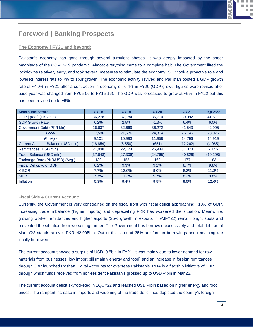#### **Foreword | Banking Prospects**

#### **The Economy | FY21 and beyond:**

Pakistan's economy has gone through several turbulent phases. It was deeply impacted by the sheer magnitude of the COVID-19 pandemic. Almost everything came to a complete halt. The Government lifted the lockdowns relatively early, and took several measures to stimulate the economy. SBP took a proactive role and lowered interest rate to 7% to spur growth. The economic activity revived and Pakistan posted a GDP growth rate of ~4.0% in FY21 after a contraction in economy of -0.4% in FY20 (GDP growth figures were revised after base year was changed from FY05-06 to FY15-16). The GDP was forecasted to grow at ~5% in FY22 but this has been revised up to ~6%.

| <b>Macro Indicators</b>           | <b>CY18</b> | <b>CY19</b> | <b>CY20</b> | <b>CY21</b> | <b>1QCY22</b> |
|-----------------------------------|-------------|-------------|-------------|-------------|---------------|
| GDP   (real) (PKR bln)            | 36,278      | 37,184      | 36,710      | 39,092      | 41,511        |
| <b>GDP Growth Rate</b>            | 6.2%        | 2.5%        | $-1.3%$     | 6.4%        | 6.0%          |
| Government Debt (PKR bln)         | 26,637      | 32,669      | 36,272      | 41,543      | 42,995        |
| Local                             | 17,536      | 21,676      | 24,314      | 26,746      | 28,076        |
| Foreign                           | 9,101       | 10,993      | 11,958      | 14,796      | 14,919        |
| Current Account Balance (USD mln) | (18, 859)   | (8,558)     | (651)       | (12, 262)   | (4,065)       |
| Remittances (USD mln)             | 21,038      | 22,124      | 25,944      | 31,073      | 7,145         |
| Trade Balance (USD mln)           | (37, 648)   | (27, 306)   | (24, 765)   | (40, 826)   | (10, 298)     |
| Exchange Rate (PKR/USD) (Avg.)    | 139         | 155         | 160         | 177         | 183           |
| Fiscal Deficit % of GDP           | 6.2%        | 9.3%        | 9.2%        | 8.7%        | 9.8%          |
| <b>KIBOR</b>                      | 7.7%        | 12.6%       | $9.0\%$     | 8.2%        | 11.3%         |
| <b>MPR</b>                        | 7.7%        | 11.3%       | 9.7%        | 8.2%        | 9.8%          |
| Inflation                         | 5.3%        | 9.4%        | 9.5%        | 9.5%        | 12.6%         |

#### **Fiscal Side & Current Account:**

Currently, the Government is very constrained on the fiscal front with fiscal deficit approaching ~10% of GDP. Increasing trade imbalance (higher imports) and depreciating PKR has worsened the situation. Meanwhile, growing worker remittances and higher exports (25% growth in exports in 9MFY22) remain bright spots and prevented the situation from worsening further. The Government has borrowed excessively and total debt as of March'22 stands at over PKR~42,995bln. Out of this, around 35% are foreign borrowings and remaining are locally borrowed.

The current account showed a surplus of USD~0.8bln in FY21. It was mainly due to lower demand for raw materials from businesses, low import bill (mainly energy and food) and an increase in foreign remittances through SBP launched Roshan Digital Accounts for overseas Pakistanis. RDA is a flagship initiative of SBP through which funds received from non-resident Pakistanis grossed up to USD~4bln in Mar'22.

The current account deficit skyrocketed in 1QCY22 and reached USD~4bln based on higher energy and food prices. The rampant increase in imports and widening of the trade deficit has depleted the country's foreign

**CRA**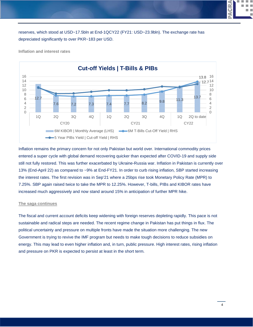reserves, which stood at USD~17.5bln at End-1QCY22 (FY21: USD~23.9bln). The exchange rate has depreciated significantly to over PKR~183 per USD.



**Inflation and interest rates**

Inflation remains the primary concern for not only Pakistan but world over. International commodity prices entered a super cycle with global demand recovering quicker than expected after COVID-19 and supply side still not fully restored. This was further exacerbated by Ukraine-Russia war. Inflation in Pakistan is currently over 13% (End-April 22) as compared to ~9% at End-FY21. In order to curb rising inflation, SBP started increasing the interest rates. The first revision was in Sep'21 where a 25bps rise took Monetary Policy Rate (MPR) to 7.25%. SBP again raised twice to take the MPR to 12.25%. However, T-bills, PIBs and KIBOR rates have increased much aggressively and now stand around 15% in anticipation of further MPR hike.

#### **The saga continues**

The fiscal and current account deficits keep widening with foreign reserves depleting rapidly. This pace is not sustainable and radical steps are needed. The recent regime change in Pakistan has put things in flux. The political uncertainty and pressure on multiple fronts have made the situation more challenging. The new Government is trying to revive the IMF program but needs to make tough decisions to reduce subsidies on energy. This may lead to even higher inflation and, in turn, public pressure. High interest rates, rising inflation and pressure on PKR is expected to persist at least in the short term.

4

**CRA** ā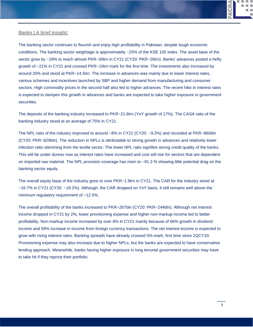

#### **Banks | A brief Insight:**

The banking sector continues to flourish and enjoy high profitability in Pakistan, despite tough economic conditions. The banking sector weightage is approximately ~25% of the KSE 100 index. The asset base of the sector grew by ~19% to reach almost PKR~30trn in CY21 (CY20: PKR~26trn). Banks' advances posted a hefty growth of ~21% in CY21 and crossed PKR~10trn mark for the first time. The investments also increased by around 20% and stood at PKR~14.5trn. The increase in advances was mainly due to lower interest rates, various schemes and incentives launched by SBP and higher demand from manufacturing and consumer sectors. High commodity prices in the second half also led to higher advances. The recent hike in interest rates is expected to dampen this growth in advances and banks are expected to take higher exposure in government securities.

The deposits of the banking industry increased to PKR~21.6trn (YoY growth of 17%). The CASA ratio of the banking industry stood at an average of 75% in CY21.

The NPL ratio of the industry improved to around ~8% in CY21 (CY20: ~9.2%) and recorded at PKR~860bln (CY20: PKR~829bln). The reduction in NPLs is attributable to strong growth in advances and relatively lower infection ratio stemming from the textile sector. The lower NPL ratio signifies strong credit quality of the banks. This will be under duress now as interest rates have increased and cost will rise for sectors that are dependent on imported raw material. The NPL provision coverage has risen to ~91.2 % showing little potential drag on the banking sector equity.

The overall equity base of the industry grew to over PKR~1.9trn in CY21. The CAR for the industry stood at ~16.7% in CY21 (CY20: ~18.2%). Although, the CAR dropped on YoY basis, it still remains well above the minimum regulatory requirement of ~12.5%.

The overall profitability of the banks increased to PKR~267bln (CY20: PKR~244bln). Although net interest income dropped in CY21 by 2%, lower provisioning expense and higher non-markup income led to better profitability. Non-markup income increased by over 8% in CY21 mainly because of 66% growth in dividend income and 59% increase in income from foreign currency transactions. The net interest income is expected to grow with rising interest rates. Banking spreads have already crossed 5%-mark, first time since 2QCY20. Provisioning expense may also increase due to higher NPLs, but the banks are expected to have conservative lending approach. Meanwhile, banks having higher exposure in long tenured government securities may have to take hit if they reprice their portfolio.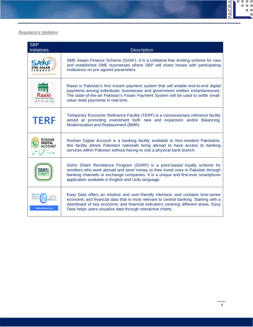

#### **Regulatory Updates:**

| <b>SBP</b><br><b>Initiatives</b>              | <b>Description</b>                                                                                                                                                                                                                                                                                                               |
|-----------------------------------------------|----------------------------------------------------------------------------------------------------------------------------------------------------------------------------------------------------------------------------------------------------------------------------------------------------------------------------------|
|                                               | SME Asaan Finance Scheme (SAAF). It is a collateral free lending scheme for new<br>and established SME businesses where SBP will share losses with participating<br>institutions on pre-agreed parameters.                                                                                                                       |
| یل بھر میں - ملک بھر میں                      | Raast is Pakistan's first instant payment system that will enable end-to-end digital<br>payments among individuals, businesses and government entities instantaneously.<br>The state-of-the-art Pakistan's Faster Payment System will be used to settle small-<br>value retail payments in real time.                            |
| <b>TERF</b>                                   | Temporary Economic Refinance Facility (TERF) is a concessionary refinance facility<br>aimed at promoting investment both new and expansion and/or Balancing,<br>Modernization and Replacement (BMR).                                                                                                                             |
| <b>DIGITAL</b><br>\CCOUNT<br>دور رہ کر بھی یا | Roshan Digital Account is a banking facility available to Non-resident Pakistanis,<br>this facility allows Pakistani nationals living abroad to have access to banking<br>services within Pakistan without having to visit a physical bank branch.                                                                               |
|                                               | Sohni Dharti Remittance Program (SDRP) is a point-based loyalty scheme for<br>remitters who work abroad and send money to their loved ones in Pakistan through<br>banking channels or exchange companies. It is a unique and first-ever smartphone<br>application available in English and Urdu language.                        |
| <b>Making Data Access Easier</b>              | Easy Data offers an intuitive and user-friendly interface, and contains time-series<br>economic and financial data that is most relevant to central banking. Starting with a<br>dashboard of key economic and financial indicators covering different areas, Easy<br>Data helps users visualize data through interactive charts. |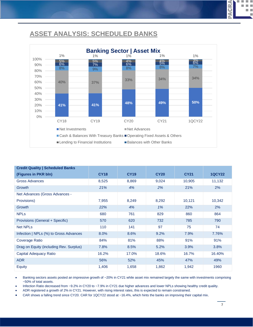#### **ASSET ANALYSIS: SCHEDULED BANKS**



| <b>Credit Quality   Scheduled Banks</b> |             |             |             |             |               |
|-----------------------------------------|-------------|-------------|-------------|-------------|---------------|
| (Figures in PKR bln)                    | <b>CY18</b> | <b>CY19</b> | <b>CY20</b> | <b>CY21</b> | <b>1QCY22</b> |
| <b>Gross Advances</b>                   | 8,525       | 8,869       | 9,024       | 10,905      | 11,132        |
| Growth                                  | 21%         | 4%          | 2%          | 21%         | 2%            |
| Net Advances (Gross Advances -          |             |             |             |             |               |
| Provisions)                             | 7,955       | 8,249       | 8,292       | 10,121      | 10,342        |
| Growth                                  | 22%         | 4%          | 1%          | 22%         | 2%            |
| <b>NPLs</b>                             | 680         | 761         | 829         | 860         | 864           |
| Provisions (General + Specific)         | 570         | 620         | 732         | 785         | 790           |
| <b>Net NPLs</b>                         | 110         | 141         | 97          | 75          | 74            |
| Infection   NPLs (%) to Gross Advances  | 8.0%        | 8.6%        | 9.2%        | 7.9%        | 7.76%         |
| Coverage Ratio                          | 84%         | 81%         | 88%         | 91%         | 91%           |
| Drag on Equity (including Rev. Surplus) | 7.8%        | 8.5%        | 5.2%        | 3.9%        | 3.8%          |
| Capital Adequacy Ratio                  | 16.2%       | 17.0%       | 18.6%       | 16.7%       | 16.40%        |
| <b>ADR</b>                              | 56%         | 52%         | 45%         | 47%         | 49%           |
| Equity                                  | 1,406       | 1,658       | 1,862       | 1,942       | 1960          |

Banking sectors assets posted an impressive growth of ~20% in CY21 while asset mix remained largely the same with investments comprising ~50% of total assets.

• Infection Ratio decreased from ~9.2% in CY20 to ~7.9% in CY21 due higher advances and lower NPLs showing healthy credit quality.

• ADR registered a growth of 2% in CY21. However, with rising interest rates, this is expected to remain constrained.

• CAR shows a falling trend since CY20. CAR for 1QCY22 stood at ~16.4%, which hints the banks on improving their capital mix.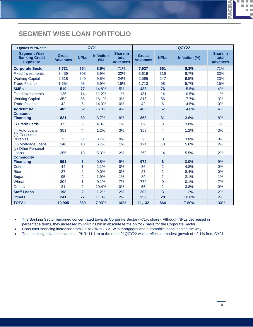### **SEGMENT WISE LOAN PORTFOLIO**

| <b>Figures in PKR bln</b>                                       |                                 |                | <b>CY21</b>                |                               |                                 |                | <b>1QCY22</b> |                                      |
|-----------------------------------------------------------------|---------------------------------|----------------|----------------------------|-------------------------------|---------------------------------|----------------|---------------|--------------------------------------|
| <b>Segment Wise</b><br><b>Banking Credit</b><br><b>Exposure</b> | <b>Gross</b><br><b>Advances</b> | <b>NPLs</b>    | <b>Infection</b><br>$(\%)$ | Share in<br>total<br>advances | <b>Gross</b><br><b>Advances</b> | <b>NPLs</b>    | Infection (%) | <b>Share in</b><br>total<br>advances |
| <b>Corporate Sector</b>                                         | 7,731                           | 654            | 8.5%                       | 71%                           | 7,927                           | 661            | 8.3%          | 71%                                  |
| <b>Fixed Investments</b>                                        | 3,459                           | 308            | 8.9%                       | 32%                           | 3,619                           | 316            | 8.7%          | 33%                                  |
| <b>Working Capital</b>                                          | 2,618                           | 249            | 9.5%                       | 24%                           | 2,595                           | 247            | 9.5%          | 23%                                  |
| <b>Trade Finance</b>                                            | 1,654                           | 98             | 5.9%                       | 15%                           | 1,713                           | 98             | 5.7%          | 15%                                  |
| <b>SMEs</b>                                                     | 519                             | 77             | 14.8%                      | 5%                            | 488                             | 76             | 15.5%         | 4%                                   |
| <b>Fixed Investments</b>                                        | 125                             | 14             | 11.2%                      | 1%                            | 131                             | 14             | 10.5%         | 1%                                   |
| <b>Working Capital</b>                                          | 352                             | 56             | 16.1%                      | 3%                            | 316                             | 56             | 17.7%         | 3%                                   |
| <b>Trade Finance</b>                                            | 42                              | 6              | 14.3%                      | 0%                            | 42                              | 6              | 14.5%         | 0%                                   |
| <b>Agriculture</b>                                              | 405                             | 62             | 15.3%                      | 4%                            | 406                             | 57             | 14.0%         | 4%                                   |
| <b>Consumer</b><br><b>Financing</b>                             | 821                             | 30             | 3.7%                       | 8%                            | 863                             | 31             | 3.6%          | 8%                                   |
| (i) Credit Cards                                                | 65                              | 3              | 4.0%                       | 1%                            | 69                              | 3              | 3.8%          | 1%                                   |
| (ii) Auto Loans                                                 | 351                             | 4              | 1.2%                       | 3%                            | 359                             | 4              | 1.2%          | 3%                                   |
| (iii) Consumer<br><b>Durables</b>                               | $\overline{2}$                  | $\mathbf{0}$   | 3.7%                       | 0%                            | $\overline{2}$                  | $\Omega$       | 3.8%          | 0%                                   |
| (iv) Mortgage Loans                                             | 148                             | 10             | 6.7%                       | 1%                            | 174                             | 10             | 5.6%          | 2%                                   |
| (v) Other Personal<br>Loans                                     | 255                             | 13             | 5.3%                       | 2%                            | 260                             | 14             | 5.5%          | 2%                                   |
| <b>Commodity</b>                                                |                                 |                |                            |                               |                                 |                |               |                                      |
| <b>Financing</b>                                                | 991                             | 8              | 0.8%                       | 9%                            | 979                             | 8              | 0.9%          | 9%                                   |
| Cotton                                                          | 44                              | 1              | 2.1%                       | 0%                            | 36                              | $\overline{2}$ | 4.8%          | 0%                                   |
| <b>Rice</b>                                                     | 27                              | $\overline{2}$ | 9.0%                       | 0%                            | 27                              | $\overline{2}$ | 8.4%          | 0%                                   |
| Sugar                                                           | 95                              | $\overline{2}$ | 1.9%                       | 1%                            | 89                              | $\overline{2}$ | 2.1%          | 1%                                   |
| Wheat                                                           | 804                             | 1              | 0.1%                       | 7%                            | 772                             | 0              | 0.1%          | 7%                                   |
| <b>Others</b>                                                   | 21                              | $\overline{2}$ | 10.4%                      | 0%                            | 55                              | $\overline{2}$ | 3.8%          | 0%                                   |
| <b>Staff Loans</b>                                              | 198                             | $\overline{2}$ | 1.2%                       | 2%                            | 208                             | 3              | 1.2%          | 2%                                   |
| <b>Others</b>                                                   | 241                             | 27             | 11.3%                      | 2%                            | 259                             | 28             | 10.8%         | 2%                                   |
| <b>TOTAL</b>                                                    | 10,905                          | 860            | 7.90%                      | 100%                          | 11,132                          | 864            | 7.80%         | 100%                                 |

• The Banking Sector remained concentrated towards Corporate Sector (~71% share). Although NPLs decreased in percentage terms, they increased by PKR~50bln in absolute terms on YoY basis for the Corporate Sector.

• Consumer financing increased from 7% to 8% in CY21 with mortgages and automobile loans leading the way.

• Total banking advances stands at PKR~11.1trn at the end of 1QCY22 which reflects a modest growth of ~2.1% from CY21.

**CRA**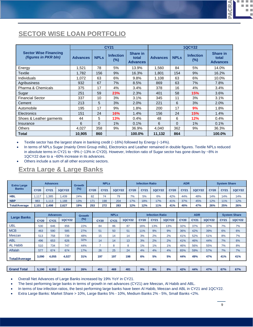#### **SECTOR WISE LOAN PORTFOLIO**

|                                                             |                 |             | <b>CY21</b>             |                                             |                 | <b>1QCY22</b> |                         |                                             |  |  |  |  |
|-------------------------------------------------------------|-----------------|-------------|-------------------------|---------------------------------------------|-----------------|---------------|-------------------------|---------------------------------------------|--|--|--|--|
| <b>Sector Wise Financing</b><br><i>(figures in PKR bln)</i> | <b>Advances</b> | <b>NPLs</b> | <b>Infection</b><br>(%) | <b>Share in</b><br>total<br><b>Advances</b> | <b>Advances</b> | <b>NPLs</b>   | <b>Infection</b><br>(%) | <b>Share in</b><br>total<br><b>Advances</b> |  |  |  |  |
| Energy                                                      | 1,521           | 78          | 5%                      | 13.9%                                       | 1.560           | 84            | 5%                      | 14.0%                                       |  |  |  |  |
| Textile                                                     | 1.782           | 156         | 9%                      | 16.3%                                       | 1.801           | 154           | 9%                      | 16.2%                                       |  |  |  |  |
| Individuals                                                 | 1.072           | 63          | 6%                      | 9.8%                                        | 1.108           | 63            | 6%                      | 10.0%                                       |  |  |  |  |
| Agribusiness                                                | 932             | 67          | 7%                      | 8.5%                                        | 869             | 63            | 7%                      | 7.8%                                        |  |  |  |  |
| Pharma & Chemicals                                          | 375             | 17          | 4%                      | 3.4%                                        | 378             | 16            | 4%                      | 3.4%                                        |  |  |  |  |
| Sugar                                                       | 251             | 59          | 23%                     | 2.3%                                        | 401             | 58            | 15%                     | 3.6%                                        |  |  |  |  |
| <b>Financial Sector</b>                                     | 337             | 10          | 3%                      | 3.1%                                        | 345             | 11            | 3%                      | 3.1%                                        |  |  |  |  |
| Cement                                                      | 213             | 5           | 3%                      | 2.0%                                        | 221             | 6             | 3%                      | 2.0%                                        |  |  |  |  |
| Automobile                                                  | 195             | 17          | 9%                      | 1.8%                                        | 200             | 17            | 9%                      | 1.8%                                        |  |  |  |  |
| <b>Electronics</b>                                          | 151             | 24          | 16%                     | 1.4%                                        | 156             | 24            | <b>15%</b>              | 1.4%                                        |  |  |  |  |
| Shoes & Leather garments                                    | 44              | 5           | 13%                     | 0.4%                                        | 48              | 6<br>12%      |                         | 0.4%                                        |  |  |  |  |
| Insurance                                                   | 6               | $\Omega$    | 1%                      | 0.1%                                        | 6               | $\Omega$      | 1%                      | 0.1%                                        |  |  |  |  |
| <b>Others</b>                                               | 4,027           | 358         | 9%                      | 36.9%                                       | 4,040           | 362           | 9%                      | 36.3%                                       |  |  |  |  |
| <b>Total</b>                                                | 10.905          | 860         |                         | 100.0%                                      | 11,132          | 864           |                         | 100.0%                                      |  |  |  |  |

Textile sector has the largest share in banking credit  $(\sim16\%)$  followed by Energy  $(\sim14\%)$ .

• In terms of NPLs Sugar (mainly Omni Group mills), Electronics and Leather remained in double figures. Textile NPLs reduced in absolute terms in CY21 to ~9% (~13% in CY20). However, Infection ratio of Sugar sector has gone down by ~8% in 1QCY22 due to a ~60% increase in its advances.

Others include a sum of all other economic sectors.

#### **Extra Large & Large Banks**

| <b>Extra Large</b><br><b>Banks</b> | <b>Advances</b> |       |               | <b>Growth</b> | <b>NPLs</b> |             |               | <b>Infection Ratio</b> |             |               |             | <b>ADR</b>  |               | <b>System Share</b> |             |               |
|------------------------------------|-----------------|-------|---------------|---------------|-------------|-------------|---------------|------------------------|-------------|---------------|-------------|-------------|---------------|---------------------|-------------|---------------|
|                                    | <b>CY20</b>     | CY21  | <b>1QCY22</b> | $(\%)$        | <b>CY20</b> | <b>CY21</b> | <b>1QCY22</b> | <b>CY20</b>            | <b>CY21</b> | <b>1QCY22</b> | <b>CY20</b> | <b>CY21</b> | <b>1QCY22</b> | <b>CY20</b>         | <b>CY21</b> | <b>1QCY22</b> |
| <b>HBL</b>                         | 117             | .385  | .439          | 24%           | 82          | 74          | 79            | 7%                     | 5%          | 6%            | 42%         | 44%         | 48%           | 14%                 | 14%         | 14%           |
| <b>NBP</b>                         | 983             | .113  | 188           | 13%           | 171         | 198         | 204           | 7%                     | 18%         | 17%           | 41%         | 37%         | 45%           | 12%                 | 11%         | 12%           |
| <b>Total/Average</b>               | 2.101           | 2.498 | 2.627         | 19%           | 253         | 272         | 283           | 12%                    | 12%         | 11%           | 41%         | 40%         | 47%           | 26%                 | 25%         | 26%           |

| <b>Large Banks</b>   |             | <b>Advances</b> |               |        | <b>NPLs</b> |             |               | <b>Infection Ratio</b> |             |               | <b>ADR</b>  |             |               | <b>System Share</b> |               |
|----------------------|-------------|-----------------|---------------|--------|-------------|-------------|---------------|------------------------|-------------|---------------|-------------|-------------|---------------|---------------------|---------------|
|                      | <b>CY20</b> | <b>CY21</b>     | <b>1QCY22</b> | $(\%)$ | <b>CY20</b> | <b>CY21</b> | <b>1QCY22</b> | <b>CY20</b>            | <b>CY21</b> | <b>1QCY22</b> | <b>CY20</b> | <b>CY21</b> | <b>1QCY22</b> | <b>CY21</b>         | <b>1QCY22</b> |
| UBL.                 | 530         | 646             | 656           | 22%    | 84          | 86          | 87            | 16%                    | 13%         | 13%           | 32%         | 37%         | 37%           | 7%                  | 7%            |
| <b>MCB</b>           | 463         | 590             | 585           | 27%    | 51          | 50          | 51            | 11%                    | 9%          | 9%            | 36%         | 42%         | 39%           | 6%                  | 6%            |
| Meezan               | 513         | 758             | 739           | 48%    | 15          | 14          | 14            | 3%                     | 2%          | 2%            | 41%         | 52%         | 51%           | 8%                  | 7%            |
| <b>ABL</b>           | 496         | 653             | 626           | 32%    | 14          | 14          | 13            | 3%                     | 2%          | 2%            | 41%         | 46%         | 44%           | 7%                  | 6%            |
| <b>AL Habib</b>      | 510         | 734             | 747           | 44%    |             | 8           | 8             | 1%                     | $1\%$       | $1\%$         | 46%         | 56%         | 55%           | 7%                  | 8%            |
| Alfalah              | 577         | 674             | 674           | 17%    | 26          | 25          | 24            | 4%                     | 4%          | 4%            | 65%         | 59%         | 57%           | 7%                  | 7%            |
| <b>Total/Average</b> | 3,090       | 4.055           | 4,027         | 31%    | 197         | 197         | 198           | 6%                     | 5%          | 5%            | 44%         | 49%         | 47%           | 41%                 | 41%           |

| <b>1 Total</b><br><b>Grand</b> | 5.190 | 6.552 | 6.654 | 26% | 45 | 469 | 481 | 9% | 8% | 8% | 42% | 44% | 47% | 67% | 67% |
|--------------------------------|-------|-------|-------|-----|----|-----|-----|----|----|----|-----|-----|-----|-----|-----|
|                                |       |       |       |     |    |     |     |    |    |    |     |     |     |     |     |

• Overall Net Advances of Large Banks increased by 19% YoY in CY21.

• The best performing large banks in terms of growth in net advances (CY21) are Meezan, Al Habib and ABL.

• In terms of low infection ratios, the best performing large banks have been Al Habib, Meezan and ABL in CY21 and 1QCY22.

• Extra Large Banks: Market Share > 10%, Large Banks 5% - 10%, Medium Banks 2% - 5%, Small Banks <2%.

CRA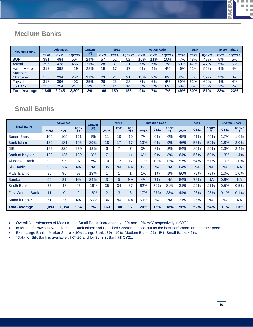**PACRA**  $\mathcal{L}_{\mathcal{A}}$ a. m.

**D** 

Ī.

### **Medium Banks**

| <b>Medium Banks</b>  | <b>Advances</b> |             |               | Growth | <b>NPLs</b> |                |               | <b>Infection Ratio</b> |             |               | <b>ADR</b>  |             |               | <b>System Share</b> |               |
|----------------------|-----------------|-------------|---------------|--------|-------------|----------------|---------------|------------------------|-------------|---------------|-------------|-------------|---------------|---------------------|---------------|
|                      | <b>CY20</b>     | <b>CY21</b> | <b>1QCY22</b> | $(\%)$ | <b>CY20</b> | <b>CY21</b>    | <b>1QCY22</b> | <b>CY20</b>            | <b>CY21</b> | <b>1QCY22</b> | <b>CY20</b> | <b>CY21</b> | <b>1QCY22</b> | <b>CY21</b>         | <b>1QCY22</b> |
| <b>BOP</b>           | 391             | 484         | 504           | 24%    | 57          | 52             | 52            | 5%                     | $1\%$       | 10%           | 47%         | 48%         | 49%           | 5%                  | 5%            |
| <b>Askari</b>        | 395             | 478         | 466           | 21%    | 28          | 31             | 31            | 7%                     | 7%          | 7%            | 50%         | 47%         | 47%           | 5%                  | 5%            |
| <b>Habib Metro</b>   | 312             | 398         | 429           | 28%    | 19          | $\sim$         | 17            | 6%                     | 4%          | 4%            | 46%         | 52%         | 55%           | 4%                  | 4%            |
| <b>Standard</b>      |                 |             |               |        |             |                |               |                        |             |               |             |             |               |                     |               |
| Chartered            | 178             | 234         | 252           | 31%    | 23          | 2 <sup>1</sup> | 21            | 13%                    | 9%          | 8%            | 32%         | 37%         | 39%           | 2%                  | 3%            |
| Faysal               | 318             | 396         | 403           | 25%    | 26          | 23             | 23            | 8%                     | 6%          | 6%            | 59%         | 62%         | 62%           | 4%                  | 4%            |
| <b>JS Bank</b>       | 250             | 254         | 247           | 2%     | 12          | 14             | 14            | 5%                     | 5%          | 6%            | 58%         | 55%         | 55%           | 3%                  | 2%            |
| <b>Total/Average</b> | .845            | 2.245       | 2.300         | 3%     | 166         | 159            | 158           | 9%                     | 7%          | 7%            | 49%         | 50%         | 51%           | 23%                 | 23%           |

### **Small Banks**

| <b>Small Banks</b>      |             | <b>Advances</b> |            | <b>Growth</b> | <b>NPLs</b>    |                 | <b>Infection Ratio</b> |             |             | <b>ADR</b> |             |             | <b>System Share</b> |             |                              |
|-------------------------|-------------|-----------------|------------|---------------|----------------|-----------------|------------------------|-------------|-------------|------------|-------------|-------------|---------------------|-------------|------------------------------|
|                         | <b>CY20</b> | <b>CY21</b>     | 1QCY<br>22 | $(\%)$        | <b>CY20</b>    | CY <sub>2</sub> | 1QC<br><b>Y22</b>      | <b>CY20</b> | <b>CY21</b> | 1QCY<br>22 | <b>CY20</b> | <b>CY21</b> | 1QCY<br>22          | <b>CY21</b> | <b>1QCY2</b><br>$\mathbf{2}$ |
| Soneri Bank             | 165         | 165             | 161        | 1%            | 11             | 10              | 10                     | 7%          | 6%          | 6%         | 48%         | 41%         | 45%                 | 1.7%        | 1.6%                         |
| <b>Bank Islami</b>      | 130         | 181             | 196        | 39%           | 18             | 17              | 17                     | 13%         | 9%          | 9%         | 46%         | 53%         | 59%                 | 1.8%        | 2.0%                         |
| <b>DIB</b>              | 199         | 225             | 239        | 13%           | 6              | 7               | 7                      | 3%          | 3%          | 3%         | 84%         | 86%         | 90%                 | 2.3%        | 2.4%                         |
| <b>Bank of Khyber</b>   | 129         | 125             | 139        | $-3%$         | $\overline{7}$ | 11              | 11                     | 6%          | 9%          | 8%         | 64%         | 56%         | 59%                 | 1.3%        | 1.4%                         |
| Al Baraka Bank          | 90          | 96              | 97         | 7%            | 10             | 12              | 12                     | 11%         | 13%         | 12%        | 57%         | 54%         | 57%                 | 1.0%        | 1.0%                         |
| Silk Bank*              | 99          | <b>NA</b>       | <b>NA</b>  | <b>NA</b>     | 35             | <b>NA</b>       | <b>NA</b>              | 35%         | <b>NA</b>   | <b>NA</b>  | 64%         | <b>NA</b>   | <b>NA</b>           | <b>NA</b>   | <b>NA</b>                    |
| <b>MCB Islamic</b>      | 85          | 96              | 97         | 13%           |                | 1               |                        | 1%          | 1%          | 1%         | 86%         | 79%         | 78%                 | 1.0%        | 1.0%                         |
| Samba                   | 66          | 81              | <b>NA</b>  | 24%           | 3              | 5               | <b>NA</b>              | 4%          | 7%          | <b>NA</b>  | 84%         | 78%         | <b>NA</b>           | 0.8%        | <b>NA</b>                    |
| Sindh Bank              | 57          | 48              | 46         | $-16%$        | 35             | 34              | 37                     | 62%         | 72%         | 81%        | 31%         | 22%         | 21%                 | 0.5%        | 0.5%                         |
| <b>First Women Bank</b> | 11          | 9               | 9          | $-18%$        | $\overline{2}$ | 3               | 3                      | 17%         | 27%         | 28%        | 44%         | 26%         | 23%                 | 0.1%        | 0.1%                         |
| Summit Bank*            | 61          | 27              | <b>NA</b>  | $-56%$        | 36             | <b>NA</b>       | <b>NA</b>              | 59%         | <b>NA</b>   | <b>NA</b>  | 31%         | 25%         | <b>NA</b>           | <b>NA</b>   | <b>NA</b>                    |
| <b>Total/Average</b>    | 1,093       | 1,054           | 984        | 2%            | 163            | 100             | 97                     | 20%         | 16%         | 18%        | 58%         | 52%         | 54%                 | 10%         | 10%                          |

• Overall Net Advances of Medium and Small Banks increased by ~3% and ~2% YoY respectively in CY21.

In terms of growth in Net advances, Bank Islami and Standard Chartered stood out as the best performers among their peers.

• Extra Large Banks: Market Share > 10%, Large Banks 5% - 10%, Medium Banks 2% - 5%, Small Banks <2%.

• \*Data for Silk Bank is available till CY20 and for Summit Bank till CY21.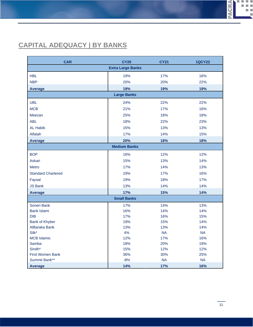### **CAPITAL ADEQUACY | BY BANKS**

| <b>CAR</b>                | <b>CY20</b>              | <b>CY21</b> | <b>1QCY22</b> |
|---------------------------|--------------------------|-------------|---------------|
|                           | <b>Extra Large Banks</b> |             |               |
| <b>HBL</b>                | 19%                      | 17%         | 16%           |
| <b>NBP</b>                | 20%                      | 20%         | 22%           |
| <b>Average</b>            | 19%                      | 19%         | 19%           |
|                           | <b>Large Banks</b>       |             |               |
| <b>UBL</b>                | 24%                      | 22%         | 22%           |
| <b>MCB</b>                | 21%                      | 17%         | 16%           |
| Meezan                    | 25%                      | 18%         | 18%           |
| <b>ABL</b>                | 18%                      | 22%         | 23%           |
| <b>AL Habib</b>           | 15%                      | 13%         | 13%           |
| Alfalah                   | 17%                      | 14%         | 15%           |
| <b>Average</b>            | 20%                      | 18%         | 18%           |
|                           | <b>Medium Banks</b>      |             |               |
| <b>BOP</b>                | 16%                      | 12%         | 12%           |
| Askari                    | 15%                      | 13%         | 14%           |
| <b>Metro</b>              | 17%                      | 14%         | 13%           |
| <b>Standard Chartered</b> | 19%                      | 17%         | 16%           |
| Faysal                    | 19%                      | 18%         | 17%           |
| <b>JS Bank</b>            | 13%                      | 14%         | 14%           |
| <b>Average</b>            | 17%                      | 15%         | 14%           |
|                           | <b>Small Banks</b>       |             |               |
| Soneri Bank               | 17%                      | 14%         | 13%           |
| <b>Bank Islami</b>        | 16%                      | 14%         | 14%           |
| DIB                       | 17%                      | 16%         | 15%           |
| <b>Bank of Khyber</b>     | 19%                      | 15%         | 14%           |
| AlBaraka Bank             | 13%                      | 13%         | 14%           |
| Silk*                     | 4%                       | <b>NA</b>   | <b>NA</b>     |
| <b>MCB</b> Islamic        | 12%                      | 17%         | 16%           |
| Samba                     | 18%                      | 20%         | 19%           |
| Sindh*                    | 15%                      | 12%         | 12%           |
| <b>First Women Bank</b>   | 36%                      | 30%         | 25%           |
| Summit Bank**             | $-8%$                    | <b>NA</b>   | <b>NA</b>     |
| <b>Average</b>            | 14%                      | 17%         | 16%           |

**PACRA** 

**COL** 

× щ

Ī.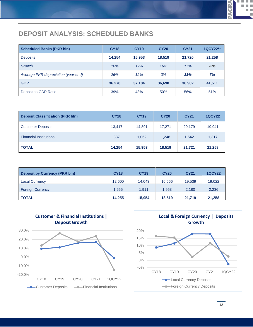### **DEPOSIT ANALYSIS: SCHEDULED BANKS**

| <b>Scheduled Banks (PKR bln)</b>    | <b>CY18</b> | <b>CY19</b> | <b>CY20</b> | <b>CY21</b> | 1QCY22** |
|-------------------------------------|-------------|-------------|-------------|-------------|----------|
| <b>Deposits</b>                     | 14.254      | 15,953      | 18,519      | 21,720      | 21,258   |
| <b>Growth</b>                       | 10%         | 12%         | 16%         | 17%         | $-2%$    |
| Average PKR depreciation (year-end) | 26%         | 12%         | 3%          | 11%         | 7%       |
| <b>GDP</b>                          | 36,278      | 37,184      | 36,690      | 38,902      | 41,511   |
| Deposit to GDP Ratio                | 39%         | 43%         | 50%         | 56%         | 51%      |

| <b>Deposit Classification (PKR bln)</b> | <b>CY18</b> | <b>CY19</b> | <b>CY20</b> | <b>CY21</b> | <b>1QCY22</b> |
|-----------------------------------------|-------------|-------------|-------------|-------------|---------------|
| <b>Customer Deposits</b>                | 13,417      | 14,891      | 17.271      | 20,179      | 19,941        |
| <b>Financial Institutions</b>           | 837         | 1,062       | 1,248       | 1,542       | 1,317         |
| <b>TOTAL</b>                            | 14,254      | 15,953      | 18,519      | 21,721      | 21,258        |

| <b>Deposit by Currency (PKR bln)</b> | <b>CY18</b> | <b>CY19</b> | <b>CY20</b> | <b>CY21</b> | <b>1QCY22</b> |
|--------------------------------------|-------------|-------------|-------------|-------------|---------------|
| <b>Local Currency</b>                | 12,600      | 14.043      | 16,566      | 19,539      | 19,022        |
| <b>Foreign Currency</b>              | 1,655       | 1.911       | 1,953       | 2,180       | 2,236         |
| <b>TOTAL</b>                         | 14,255      | 15.954      | 18.519      | 21,719      | 21,258        |





**PACRA** 

П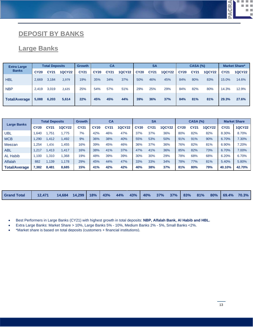#### **PACRA** П.  $\mathcal{L}_{\mathcal{A}}$  $\overline{\phantom{a}}$ m.

#### **DEPOSIT BY BANKS**

#### **Large Banks**

| <b>Extra Large</b>   | <b>Total Deposits</b> |             |               | <b>Growth</b> | <b>CA</b>   |             |               | <b>SA</b>   |             |               | <b>CASA (%)</b> |             |               | <b>Market Share*</b> |               |
|----------------------|-----------------------|-------------|---------------|---------------|-------------|-------------|---------------|-------------|-------------|---------------|-----------------|-------------|---------------|----------------------|---------------|
| <b>Banks</b>         | <b>CY20</b>           | <b>CY21</b> | <b>1QCY22</b> | <b>CY21</b>   | <b>CY20</b> | <b>CY21</b> | <b>1QCY22</b> | <b>CY20</b> | <b>CY21</b> | <b>1QCY22</b> | <b>CY20</b>     | <b>CY21</b> | <b>1QCY22</b> | <b>CY21</b>          | <b>1QCY22</b> |
| <b>HBL</b>           | 2,669                 | 3,184       | 2,979         | 19%           | 35%         | 34%         | 37%           | 50%         | 46%         | 45%           | 84%             | 80%         | 83%           | 15.0%                | 14.6%         |
| <b>NBP</b>           | 2.419                 | 3,019       | 2,635         | 25%           | 54%         | 57%         | 51%           | 29%         | 25%         | 29%           | 84%             | 82%         | 80%           | 14.3%                | 12.9%         |
| <b>Total/Average</b> | 5,088                 | 6,203       | 5,614         | 22%           | 45%         | 45%         | 44%           | 39%         | 36%         | 37%           | 84%             | 81%         | 81%           | 29.3%                | 27.6%         |

| <b>Large Banks</b>   |             | <b>Total Deposits</b> |               |             | CA<br><b>Growth</b> |             |               | <b>SA</b>   |             |               | <b>CASA (%)</b> |      |               | <b>Market Share</b> |               |
|----------------------|-------------|-----------------------|---------------|-------------|---------------------|-------------|---------------|-------------|-------------|---------------|-----------------|------|---------------|---------------------|---------------|
|                      | <b>CY20</b> | <b>CY21</b>           | <b>1QCY22</b> | <b>CY21</b> | <b>CY20</b>         | <b>CY21</b> | <b>1QCY22</b> | <b>CY20</b> | <b>CY21</b> | <b>1QCY22</b> | <b>CY20</b>     | CY21 | <b>1QCY22</b> | <b>CY21</b>         | <b>1QCY22</b> |
| UBL                  | 1.640       | .751                  | .775          | 7%          | 42%                 | 46%         | 47%           | 37%         | 37%         | 36%           | 80%             | 82%  | 82%           | 8.30%               | 8.70%         |
| <b>MCB</b>           | 1.290       | ,412                  | 1,492         | 9%          | 36%                 | 38%         | 40%           | 55%         | 53%         | 50%           | 91%             | 91%  | 90%           | 6.70%               | 7.30%         |
| Meezan               | .254        | .456                  | .455          | 16%         | 39%                 | 45%         | 46%           | 36%         | 37%         | 36%           | 76%             | 82%  | 81%           | 6.90%               | 7.20%         |
| <b>ABL</b>           | 1.217       | ,413                  | 1,417         | 16%         | 38%                 | 41%         | 37%           | 47%         | 41%         | 36%           | 85%             | 82%  | 73%           | 6.70%               | 7.00%         |
| <b>AL Habib</b>      | 1.100       | .310                  | .368          | 19%         | 48%                 | 39%         | 39%           | 30%         | 30%         | 29%           | 78%             | 68%  | 68%           | 6.20%               | 6.70%         |
| <b>Alfalah</b>       | 882         | .139                  | 1.178         | 29%         | 45%                 | 44%         | 47%           | 33%         | 33%         | 34%           | 78%             | 77%  | 81%           | 5.40%               | 5.80%         |
| <b>Total/Average</b> | 7,382       | 8.481                 | 8,685         | 15%         | 41%                 | 42%         | 42%           | 40%         | 38%         | 37%           | 81%             | 80%  | 79%           | 40.10%              | 42.70%        |

| <b>Grand Total</b> | 12.471 | $14,684$ $14,299$ $18\%$ $43\%$ $44\%$ $43\%$ $40\%$ $37\%$ $37\%$ $83\%$ $81\%$ $80\%$ $69.4\%$ $70.3\%$ |  |  |  |  |  |  |  |
|--------------------|--------|-----------------------------------------------------------------------------------------------------------|--|--|--|--|--|--|--|

• Best Performers in Large Banks (CY21) with highest growth in total deposits: **NBP, Alfalah Bank, Al Habib and HBL.**

• Extra Large Banks: Market Share > 10%, Large Banks 5% - 10%, Medium Banks 2% - 5%, Small Banks <2%.

• \*Market share is based on total deposits (customers + financial institutions).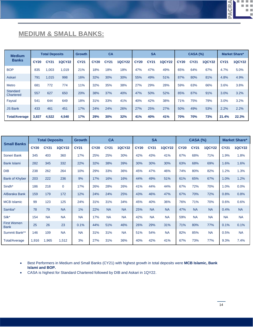#### **PACRA** 医骨折 a a

### **MEDIUM & SMALL BANKS:**

| <b>Medium</b>         | <b>Total Deposits</b> |             |               | <b>Growth</b> | CA          |             |               | <b>SA</b>   |             |               | <b>CASA (%)</b> |             |               | <b>Market Share*</b> |               |
|-----------------------|-----------------------|-------------|---------------|---------------|-------------|-------------|---------------|-------------|-------------|---------------|-----------------|-------------|---------------|----------------------|---------------|
| <b>Banks</b>          | <b>CY20</b>           | <b>CY21</b> | <b>1QCY22</b> | <b>CY21</b>   | <b>CY20</b> | <b>CY21</b> | <b>1QCY22</b> | <b>CY20</b> | <b>CY21</b> | <b>1QCY22</b> | <b>CY20</b>     | <b>CY21</b> | <b>1QCY22</b> | <b>CY21</b>          | <b>1QCY22</b> |
| <b>BOP</b>            | 835                   | 1,003       | 1,019         | 21%           | 18%         | 18%         | 18%           | 47%         | 47%         | 49%           | 65%             | 64%         | 67%           | 4.7%                 | 5.0%          |
| Askari                | 791                   | 1,015       | 998           | 16%           | 32%         | 30%         | 30%           | 55%         | 49%         | 51%           | 87%             | 80%         | 81%           | 4.8%                 | 4.9%          |
| <b>Metro</b>          | 681                   | 772         | 774           | 11%           | 32%         | 35%         | 38%           | 27%         | 29%         | 28%           | 59%             | 63%         | 66%           | 3.6%                 | 3.8%          |
| Standard<br>Chartered | 557                   | 627         | 650           | 20%           | 38%         | 37%         | 40%           | 47%         | 50%         | 52%           | 85%             | 87%         | 91%           | 3.0%                 | 3.2%          |
| Faysal                | 541                   | 644         | 649           | 18%           | 31%         | 33%         | 41%           | 40%         | 42%         | 38%           | 71%             | 75%         | 79%           | 3.0%                 | 3.2%          |
| <b>JS Bank</b>        | 433                   | 461         | 451           | 17%           | 24%         | 24%         | 26%           | 27%         | 25%         | 27%           | 50%             | 49%         | 53%           | 2.2%                 | 2.2%          |
| <b>Total/Average</b>  | 3,837                 | 4,522       | 4,540         | 17%           | 29%         | 30%         | 32%           | 41%         | 40%         | 41%           | <b>70%</b>      | 70%         | 73%           | 21.4%                | 22.3%         |

|                                   |             | <b>Total Deposits</b> |               | <b>Growth</b> |             | <b>CA</b>   |               |             | <b>SA</b>   |               |             | <b>CASA (%)</b> |               |             | <b>Market Share*</b> |
|-----------------------------------|-------------|-----------------------|---------------|---------------|-------------|-------------|---------------|-------------|-------------|---------------|-------------|-----------------|---------------|-------------|----------------------|
| <b>Small Banks</b>                | <b>CY20</b> | <b>CY21</b>           | <b>1QCY22</b> | <b>CY21</b>   | <b>CY20</b> | <b>CY21</b> | <b>1QCY22</b> | <b>CY20</b> | <b>CY21</b> | <b>1QCY22</b> | <b>CY20</b> | <b>CY21</b>     | <b>1QCY22</b> | <b>CY21</b> | <b>1QCY22</b>        |
| Soneri Bank                       | 345         | 403                   | 360           | 17%           | 25%         | 25%         | 30%           | 42%         | 43%         | 41%           | 67%         | 68%             | 71%           | 1.9%        | 1.8%                 |
| <b>Bank Islami</b>                | 282         | 345                   | 332           | 22%           | 32%         | 38%         | 39%           | 30%         | 30%         | 30%           | 63%         | 68%             | 69%           | 1.6%        | 1.6%                 |
| <b>DIB</b>                        | 238         | 262                   | 264           | 10%           | 29%         | 33%         | 36%           | 45%         | 47%         | 46%           | 74%         | 80%             | 82%           | 1.2%        | 1.3%                 |
| <b>Bank of Khyber</b>             | 203         | 222                   | 236           | 9%            | 17%         | 16%         | 16%           | 44%         | 49%         | 51%           | 61%         | 65%             | 67%           | 1.0%        | 1.2%                 |
| Sindh*                            | 186         | 218                   | $\mathbf{0}$  | 17%           | 26%         | 28%         | 26%           | 41%         | 44%         | 44%           | 67%         | 72%             | 70%           | 1.0%        | 0.0%                 |
| AlBaraka Bank                     | 159         | 179                   | 172           | 12%           | 24%         | 24%         | 25%           | 43%         | 46%         | 47%           | 67%         | 70%             | 72%           | 0.8%        | 0.8%                 |
| <b>MCB Islamic</b>                | 99          | 123                   | 125           | 24%           | 31%         | 31%         | 34%           | 45%         | 40%         | 36%           | 76%         | 71%             | 70%           | 0.6%        | 0.6%                 |
| Samba*                            | 78          | 79                    | <b>NA</b>     | 1%            | 22%         | <b>NA</b>   | <b>NA</b>     | 25%         | <b>NA</b>   | <b>NA</b>     | 47%         | <b>NA</b>       | <b>NA</b>     | 0.4%        | <b>NA</b>            |
| Silk*                             | 154         | <b>NA</b>             | <b>NA</b>     | <b>NA</b>     | 17%         | <b>NA</b>   | <b>NA</b>     | 42%         | <b>NA</b>   | <b>NA</b>     | 59%         | <b>NA</b>       | <b>NA</b>     | <b>NA</b>   | <b>NA</b>            |
| <b>First Women</b><br><b>Bank</b> | 25          | 26                    | 23            | 0.1%          | 44%         | 51%         | 46%           | 26%         | 29%         | 31%           | 71%         | 80%             | 77%           | 0.1%        | 0.1%                 |
| Summit Bank**                     | 146         | 109                   | <b>NA</b>     | <b>NA</b>     | 31%         | 31%         | <b>NA</b>     | 51%         | 54%         | <b>NA</b>     | 82%         | 85%             | <b>NA</b>     | 0.5%        | <b>NA</b>            |
| <b>Total/Average</b>              | 1,916       | 1,965                 | 1,512         | 3%            | 27%         | 31%         | 36%           | 40%         | 42%         | 41%           | 67%         | 73%             | 77%           | 9.3%        | 7.4%                 |

- Best Performers in Medium and Small Banks (CY21) with highest growth in total deposits were **MCB Islamic, Bank Islami and BOP.**
- CASA is highest for Standard Chartered followed by DIB and Askari in 1QY22.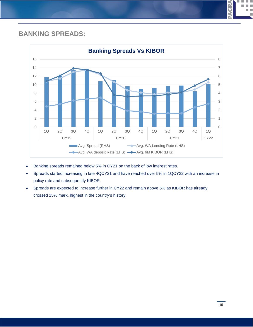# **BANKING SPREADS:**



- Banking spreads remained below 5% in CY21 on the back of low interest rates.
- Spreads started increasing in late 4QCY21 and have reached over 5% in 1QCY22 with an increase in policy rate and subsequently KIBOR.
- Spreads are expected to increase further in CY22 and remain above 5% as KIBOR has already crossed 15% mark, highest in the country's history.

**ACRA**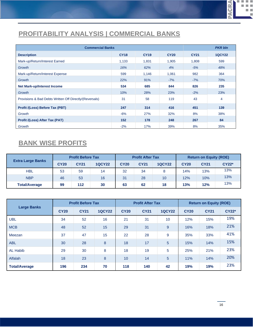### **PROFITABILITY ANALYSIS | COMMERCIAL BANKS**

|                                                         | <b>Commercial Banks</b> |             |             |             |               |  |  |  |  |  |  |  |
|---------------------------------------------------------|-------------------------|-------------|-------------|-------------|---------------|--|--|--|--|--|--|--|
| <b>Description</b>                                      | <b>CY18</b>             | <b>CY19</b> | <b>CY20</b> | <b>CY21</b> | <b>1QCY22</b> |  |  |  |  |  |  |  |
| Mark-up/Return/Interest Earned                          | 1,133                   | 1,831       | 1,905       | 1,808       | 599           |  |  |  |  |  |  |  |
| Growth                                                  | 16%                     | 62%         | 4%          | $-5%$       | 48%           |  |  |  |  |  |  |  |
| Mark-up/Return/Interest Expense                         | 599                     | 1,146       | 1,061       | 982         | 364           |  |  |  |  |  |  |  |
| Growth                                                  | 22%                     | 91%         | $-7%$       | $-7%$       | 70%           |  |  |  |  |  |  |  |
| <b>Net Mark-up/Interest Income</b>                      | 534                     | 685         | 844         | 826         | 235           |  |  |  |  |  |  |  |
| Growth                                                  | 10%                     | 28%         | 23%         | $-2%$       | 23%           |  |  |  |  |  |  |  |
| Provisions & Bad Debts Written Off Directly/(Reversals) | 31                      | 58          | 119         | 43          | 4             |  |  |  |  |  |  |  |
| Profit /(Loss) Before Tax (PBT)                         | 247                     | 314         | 416         | 451         | 139           |  |  |  |  |  |  |  |
| Growth                                                  | $-6%$                   | 27%         | 32%         | 8%          | 38%           |  |  |  |  |  |  |  |
| Profit /(Loss) After Tax (PAT)                          | 152                     | 178         | 248         | 267         | 84            |  |  |  |  |  |  |  |
| Growth                                                  | $-2%$                   | 17%         | 39%         | 8%          | 35%           |  |  |  |  |  |  |  |

### **BANK WISE PROFITS**

| <b>Extra Large Banks</b> | <b>Profit Before Tax</b> |             |               | <b>Profit After Tax</b> |             |               | <b>Return on Equity (ROE)</b> |             |              |
|--------------------------|--------------------------|-------------|---------------|-------------------------|-------------|---------------|-------------------------------|-------------|--------------|
|                          | <b>CY20</b>              | <b>CY21</b> | <b>1QCY22</b> | <b>CY20</b>             | <b>CY21</b> | <b>1QCY22</b> | <b>CY20</b>                   | <b>CY21</b> | <b>CY22*</b> |
| HBL                      | 53                       | 59          | 14            | 32                      | 34          | 8             | 14%                           | 13%         | 13%          |
| <b>NBP</b>               | 46                       | 53          | 16            | 31                      | 28          | 10            | 12%                           | 10%         | 13%          |
| <b>Total/Average</b>     | 99                       | 112         | 30            | 63                      | 62          | 18            | 13%                           | 12%         | 13%          |

| <b>Large Banks</b>   | <b>Profit Before Tax</b> |             |               | <b>Profit After Tax</b> |             |               | <b>Return on Equity (ROE)</b> |             |              |
|----------------------|--------------------------|-------------|---------------|-------------------------|-------------|---------------|-------------------------------|-------------|--------------|
|                      | <b>CY20</b>              | <b>CY21</b> | <b>1QCY22</b> | <b>CY20</b>             | <b>CY21</b> | <b>1QCY22</b> | <b>CY20</b>                   | <b>CY21</b> | <b>CY22*</b> |
| <b>UBL</b>           | 34                       | 52          | 16            | 21                      | 31          | 10            | 12%                           | 15%         | 19%          |
| <b>MCB</b>           | 48                       | 52          | 15            | 29                      | 31          | 9             | 16%                           | 18%         | 21%          |
| Meezan               | 37                       | 47          | 15            | 22                      | 28          | 9             | 35%                           | 33%         | 41%          |
| <b>ABL</b>           | 30                       | 28          | 8             | 18                      | 17          | 5             | 15%                           | 14%         | 15%          |
| <b>AL Habib</b>      | 29                       | 30          | 8             | 18                      | 19          | 5             | 25%                           | 21%         | 23%          |
| Alfalah              | 18                       | 23          | 8             | 10                      | 14          | 5             | 11%                           | 14%         | 20%          |
| <b>Total/Average</b> | 196                      | 234         | 70            | 118                     | 140         | 42            | 19%                           | 19%         | 23%          |

**PACRA** 

D. L a.

> $\overline{\phantom{a}}$ m.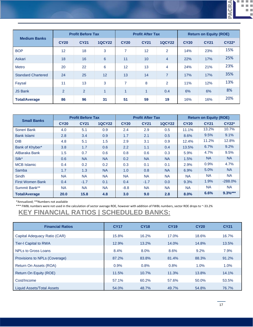**PACRA** 医骨折  $\overline{\phantom{a}}$ 

×

| <b>Medium Banks</b>       | <b>Profit Before Tax</b> |                |               | <b>Profit After Tax</b> |             |                | <b>Return on Equity (ROE)</b> |             |              |
|---------------------------|--------------------------|----------------|---------------|-------------------------|-------------|----------------|-------------------------------|-------------|--------------|
|                           | <b>CY20</b>              | <b>CY21</b>    | <b>1QCY22</b> | <b>CY20</b>             | <b>CY21</b> | <b>1QCY22</b>  | <b>CY20</b>                   | <b>CY21</b> | <b>CY22*</b> |
| <b>BOP</b>                | 12                       | 18             | 3             | 7                       | 12          | 2              | 14%                           | 23%         | 15%          |
| Askari                    | 18                       | 16             | 6             | 11                      | 10          | $\overline{4}$ | 22%                           | 17%         | 25%          |
| <b>Metro</b>              | 20                       | 22             | 6             | 12                      | 13          | $\overline{4}$ | 24%                           | 21%         | 23%          |
| <b>Standard Chartered</b> | 24                       | 25             | 12            | 13                      | 14          | $\overline{7}$ | 17%                           | 17%         | 35%          |
| Faysal                    | 11                       | 13             | 3             | 7                       | 8           | 2              | 11%                           | 12%         | 13%          |
| <b>JS Bank</b>            | 2                        | $\overline{2}$ | 1             | $\overline{A}$          | 1           | 0.4            | 6%                            | 6%          | 8%           |
| <b>Total/Average</b>      | 86                       | 96             | 31            | 51                      | 59          | 19             | 16%                           | 16%         | 20%          |

|                         | <b>Profit Before Tax</b> |             |               |             | <b>Profit After Tax</b> |               | <b>Return on Equity (ROE)</b> |             |              |
|-------------------------|--------------------------|-------------|---------------|-------------|-------------------------|---------------|-------------------------------|-------------|--------------|
| <b>Small Banks</b>      | <b>CY20</b>              | <b>CY21</b> | <b>1QCY22</b> | <b>CY20</b> | <b>CY21</b>             | <b>1QCY22</b> | <b>CY20</b>                   | <b>CY21</b> | <b>CY22*</b> |
| Soneri Bank             | 4.0                      | 5.1         | 0.9           | 2.4         | 2.9                     | 0.5           | 11.1%                         | 13.2%       | 10.7%        |
| <b>Bank Islami</b>      | 2.8                      | 3.4         | 0.9           | 1.7         | 2.1                     | 0.5           | 8.6%                          | 9.5%        | 9.1%         |
| <b>DIB</b>              | 4.8                      | 5.1         | 1.5           | 2.9         | 3.1                     | 0.9           | 12.4%                         | 11.2%       | 12.8%        |
| Bank of Khyber*         | 3.8                      | 1.7         | 0.6           | 2.2         | 1.1                     | 0.4           | 13.5%                         | 6.7%        | 9.2%         |
| AlBaraka Bank           | 1.5                      | 0.7         | 0.6           | 0.8         | 0.6                     | 0.3           | 5.9%                          | 4.7%        | 9.5%         |
| Silk*                   | 0.6                      | <b>NA</b>   | <b>NA</b>     | 0.2         | <b>NA</b>               | <b>NA</b>     | 1.5%                          | <b>NA</b>   | <b>NA</b>    |
| <b>MCB Islamic</b>      | 0.4                      | 0.2         | 0.2           | 0.3         | 0.1                     | 0.1           | 2.9%                          | 0.9%        | 4.7%         |
| Samba                   | 1.7                      | 1.3         | <b>NA</b>     | 1.0         | 0.8                     | <b>NA</b>     | 6.9%                          | 5.0%        | <b>NA</b>    |
| <b>Sindh</b>            | <b>NA</b>                | <b>NA</b>   | <b>NA</b>     | <b>NA</b>   | <b>NA</b>               | <b>NA</b>     | <b>NA</b>                     | <b>NA</b>   | <b>NA</b>    |
| <b>First Women Bank</b> | 0.4                      | $-1.7$      | 0.1           | 0.4         | $-1.7$                  | 0.0           | 9.3%                          | 1.9%        | $-288.0%$    |
| Summit Bank**           | <b>NA</b>                | <b>NA</b>   | <b>NA</b>     | $-8.8$      | <b>NA</b>               | <b>NA</b>     | <b>NA</b>                     | <b>NA</b>   | NA.          |
| <b>Total/Average</b>    | 20.0                     | 15.8        | 4.8           | 3.0         | 9.0                     | 2.8           | 8.0%                          | 6.6%        | $9.3%***$    |

\*Annualized; \*\*Numbers not available

\*\*\* FWBL numbers were not used in the calculation of sector average ROE, however with addition of FWBL numbers, sector ROE drops to ~-33.2%

### **KEY FINANCIAL RATIOS | SCHEDULED BANKS:**

| <b>Financial Ratios</b>       | <b>CY17</b> | <b>CY18</b> | <b>CY19</b> | <b>CY20</b> | <b>CY21</b> |
|-------------------------------|-------------|-------------|-------------|-------------|-------------|
| Capital Adequacy Ratio (CAR)  | 15.8%       | 16.2%       | 17.0%       | 18.6%       | 16.7%       |
| <b>Tier-I Capital to RWA</b>  | 12.9%       | 13.2%       | 14.0%       | 14.8%       | 13.5%       |
| NPLs to Gross Loans           | 8.4%        | 8.0%        | 8.6%        | 9.2%        | 7.9%        |
| Provisions to NPLs (Coverage) | 87.2%       | 83.8%       | 81.4%       | 88.3%       | 91.2%       |
| Return On Assets (ROA)        | 0.9%        | 0.8%        | 0.8%        | 1.0%        | 1.0%        |
| Return On Equity (ROE)        | 11.5%       | 10.7%       | 11.3%       | 13.8%       | 14.1%       |
| Cost/Income                   | 57.1%       | 60.2%       | 57.6%       | 50.0%       | 53.5%       |
| Liquid Assets/Total Assets    | 54.0%       | 48.7%       | 49.7%       | 54.8%       | 76.7%       |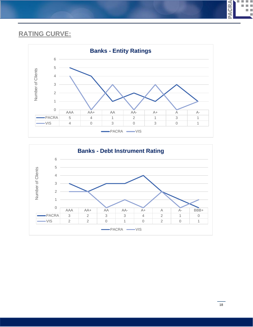### **RATING CURVE:**





**PACRA** 

D. L  $\mathcal{L}_{\mathcal{A}}$ a a ш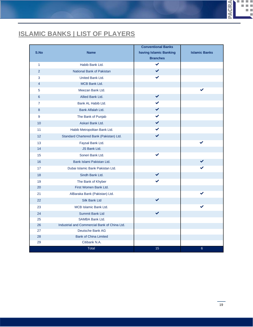# **ISLAMIC BANKS | LIST OF PLAYERS**

| S.No           | <b>Name</b>                                  | <b>Conventional Banks</b><br>having Islamic Banking | <b>Islamic Banks</b> |
|----------------|----------------------------------------------|-----------------------------------------------------|----------------------|
|                |                                              | <b>Branches</b>                                     |                      |
| $\mathbf{1}$   | Habib Bank Ltd.                              | ✔                                                   |                      |
| $\overline{2}$ | National Bank of Pakistan                    | $\checkmark$                                        |                      |
| 3              | United Bank Ltd.                             | ✓                                                   |                      |
| $\overline{4}$ | MCB Bank Ltd.                                |                                                     |                      |
| 5              | Meezan Bank Ltd.                             |                                                     |                      |
| 6              | Allied Bank Ltd.                             | $\checkmark$                                        |                      |
| $\overline{7}$ | Bank AL Habib Ltd.                           | ✔                                                   |                      |
| 8              | Bank Alfalah Ltd.                            | $\checkmark$                                        |                      |
| 9              | The Bank of Punjab                           | ✔                                                   |                      |
| 10             | Askari Bank Ltd.                             | $\checkmark$                                        |                      |
| 11             | Habib Metropolitan Bank Ltd.                 | ✔                                                   |                      |
| 12             | Standard Chartered Bank (Pakistan) Ltd.      | $\checkmark$                                        |                      |
| 13             | Faysal Bank Ltd.                             |                                                     |                      |
| 14             | JS Bank Ltd.                                 |                                                     |                      |
| 15             | Soneri Bank Ltd.                             |                                                     |                      |
| 16             | Bank Islami Pakistan Ltd.                    |                                                     |                      |
| 17             | Dubai Islamic Bank Pakistan Ltd.             |                                                     |                      |
| 18             | Sindh Bank Ltd.                              | ✔                                                   |                      |
| 19             | The Bank of Khyber                           |                                                     |                      |
| 20             | First Women Bank Ltd.                        |                                                     |                      |
| 21             | AlBaraka Bank (Pakistan) Ltd.                |                                                     |                      |
| 22             | Silk Bank Ltd                                | ✔                                                   |                      |
| 23             | <b>MCB Islamic Bank Ltd.</b>                 |                                                     |                      |
| 24             | <b>Summit Bank Ltd</b>                       | ✔                                                   |                      |
| 25             | <b>SAMBA Bank Ltd.</b>                       |                                                     |                      |
| 26             | Industrial and Commercial Bank of China Ltd. |                                                     |                      |
| 27             | Deutsche Bank AG                             |                                                     |                      |
| 28             | <b>Bank of China Limited</b>                 |                                                     |                      |
| 29             | Citibank N.A.                                |                                                     |                      |
|                | <b>Total</b>                                 | 15                                                  | $6\phantom{1}$       |

**DACRA** 

Ħ Ē.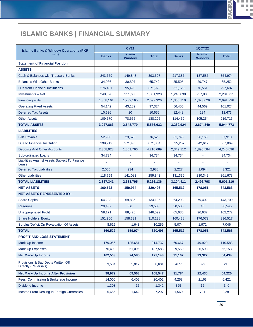# **ISLAMIC BANKS | FINANCIAL SUMMARY**

| <b>Islamic Banks &amp; Window Operations (PKR)</b>         |              | <b>CY21</b>                     |              | <b>1QCY22</b> |                                 |              |  |
|------------------------------------------------------------|--------------|---------------------------------|--------------|---------------|---------------------------------|--------------|--|
| mln)                                                       | <b>Banks</b> | <b>Islamic</b><br><b>Window</b> | <b>Total</b> | <b>Banks</b>  | <b>Islamic</b><br><b>Window</b> | <b>Total</b> |  |
| <b>Statement of Financial Position</b>                     |              |                                 |              |               |                                 |              |  |
| <b>ASSETS</b>                                              |              |                                 |              |               |                                 |              |  |
| Cash & Balances with Treasury Banks                        | 243,659      | 149,848                         | 393,507      | 217,387       | 137,587                         | 354,974      |  |
| <b>Balances With Other Banks</b>                           | 34,936       | 30,807                          | 65,742       | 35,505        | 29,747                          | 65,252       |  |
| Due from Financial Institutions                            | 276,431      | 95,493                          | 371,925      | 221,126       | 76,561                          | 297,687      |  |
| <b>Investments - Net</b>                                   | 940,328      | 911,600                         | 1,851,928    | 1,243,830     | 957,880                         | 2,201,711    |  |
| Financing - Net                                            | 1,358,161    | 1,239,165                       | 2,597,326    | 1,368,710     | 1,323,026                       | 2,691,736    |  |
| <b>Operating Fixed Assets</b>                              | 54,142       | 43,182                          | 97,324       | 56,455        | 44,569                          | 101,024      |  |
| <b>Deferred Tax Assets</b>                                 | 10,636       | 20                              | 10,656       | 12,448        | 224                             | 12,673       |  |
| <b>Other Assets</b>                                        | 109,570      | 78,655                          | 188,225      | 114,462       | 105,254                         | 219,716      |  |
| <b>TOTAL ASSETS</b>                                        | 3,027,863    | 2,548,770                       | 5,576,632    | 3,269,924     | 2,674,849                       | 5,944,773    |  |
| <b>LIABILITIES</b>                                         |              |                                 |              |               |                                 |              |  |
| <b>Bills Payable</b>                                       | 52,950       | 23.578                          | 76,528       | 61,745        | 26,165                          | 87,910       |  |
| Due to Financial Institution                               | 299,919      | 371,435                         | 671,354      | 525,257       | 342,612                         | 867,869      |  |
| Deposits And Other Accounts                                | 2,358,923    | 1,851,766                       | 4,210,689    | 2,349,112     | 1,896,584                       | 4,245,696    |  |
| <b>Sub-ordinated Loans</b>                                 | 34,734       |                                 | 34,734       | 34,734        |                                 | 34,734       |  |
| Liabilities Against Assets Subject To Finance<br>Lease     |              |                                 |              |               |                                 |              |  |
| <b>Deferred Tax Liabilities</b>                            | 2,055        | 934                             | 2,988        | 2,227         | 1,094                           | 3,321        |  |
| <b>Other Liabilities</b>                                   | 118,759      | 141,083                         | 259,843      | 131,336       | 230,342                         | 361,678      |  |
| <b>TOTAL LIABILITIES</b>                                   | 2,867,341    | 2,388,795                       | 5,256,136    | 3,104,411     | 2,496,798                       | 5,601,210    |  |
| <b>NET ASSETS</b>                                          | 160,522      | 159,974                         | 320,496      | 165,512       | 178,051                         | 343,563      |  |
| <b>NET ASSETS REPRESENTED BY: -</b>                        |              |                                 |              |               |                                 |              |  |
| <b>Share Capital</b>                                       | 64,298       | 69,836                          | 134,135      | 64,298        | 79,402                          | 143,700      |  |
| <b>Reserves</b>                                            | 29,437       | 66                              | 29,503       | 30,505        | 40                              | 30,545       |  |
| <b>Unappropriated Profit</b>                               | 58,171       | 88,428                          | 146,599      | 65,635        | 96,637                          | 162,272      |  |
| <b>Share Holders' Equity</b>                               | 151,906      | 158,331                         | 310,238      | 160,438       | 176,079                         | 336,517      |  |
| Surplus/Deficit On Revaluation Of Assets                   | 8,615        | 1,643                           | 10,259       | 5,074         | 1,972                           | 7,046        |  |
| <b>TOTAL</b>                                               | 160,522      | 159,974                         | 320,496      | 165,512       | 178,051                         | 343,563      |  |
| PROFIT AND LOSS STATEMENT                                  |              |                                 |              |               |                                 |              |  |
| Mark-Up Income                                             | 179,056      | 135,681                         | 314,737      | 60,667        | 49,920                          | 110,588      |  |
| Mark-Up Expenses                                           | 76,493       | 61,096                          | 137,588      | 29,560        | 26,593                          | 56,153       |  |
| <b>Net Mark-Up Income</b>                                  | 102,563      | 74,585                          | 177,148      | 31,107        | 23,327                          | 54,434       |  |
| Provisions & Bad Debts Written Off<br>Directly/(Reversals) | 3,584        | 5,017                           | 8,601        | $-677$        | 892                             | 215          |  |
| <b>Net Mark-Up Income After Provision</b>                  | 98,979       | 69,568                          | 168,547      | 31,784        | 22,435                          | 54,220       |  |
| Fees, Commission & Brokerage Income                        | 14,000       | 6,402                           | 20,402       | 4,258         | 2,163                           | 6,421        |  |
| <b>Dividend Income</b>                                     | 1,308        | 35                              | 1,342        | 325           | 16                              | 340          |  |
| Income From Dealing In Foreign Currencies                  | 5,655        | 1,642                           | 7,297        | 1,560         | 721                             | 2,281        |  |

**PACRA** 

щ

Ē.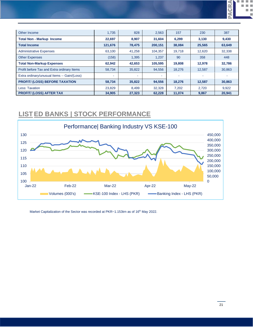| Other Income                                | 1.735    | 828    | 2,563   | 157    | 230    | 387    |
|---------------------------------------------|----------|--------|---------|--------|--------|--------|
| <b>Total Non - Markup Income</b>            | 22,697   | 8,907  | 31,604  | 6,299  | 3,130  | 9,430  |
| <b>Total Income</b>                         | 121,676  | 78,475 | 200,151 | 38,084 | 25,565 | 63,649 |
| <b>Administrative Expenses</b>              | 63,100   | 41,258 | 104,357 | 19,718 | 12.620 | 32.338 |
| <b>Other Expenses</b>                       | (158)    | 1,395  | 1.237   | 90     | 358    | 448    |
| <b>Total Non-Markup Expenses</b>            | 62,942   | 42,653 | 105,595 | 19,808 | 12.978 | 32.786 |
| Profit before Tax and Extra ordinary Items  | 58,734   | 35,822 | 94,556  | 18,276 | 12.587 | 30,863 |
| Extra ordinary/unusual Items -- Gain/(Loss) | <b>.</b> |        |         | $\sim$ |        |        |
| PROFIT/ (LOSS) BEFORE TAXATION              | 58,734   | 35,822 | 94,556  | 18,276 | 12,587 | 30.863 |
| Less: Taxation                              | 23,829   | 8,499  | 32,328  | 7.202  | 2.720  | 9.922  |
| <b>PROFIT/ (LOSS) AFTER TAX</b>             | 34.905   | 27.323 | 62.228  | 11.074 | 9,867  | 20.941 |

#### **LISTED BANKS | STOCK PERFORMANCE**



Market Capitalization of the Sector was recorded at PKR~1.153trn as of 16<sup>th</sup> May 2022.

**PACRA**